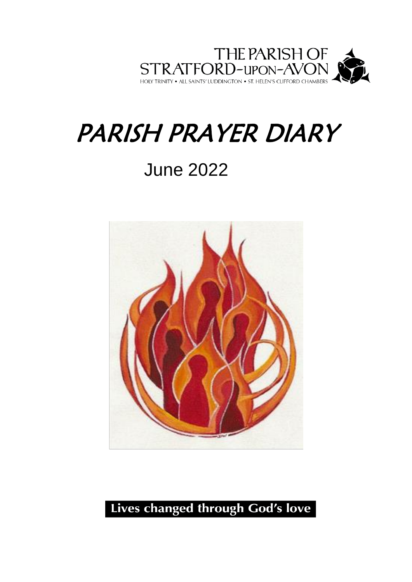

## PARISH PRAYER DIARY

## June 2022



## Lives changed through God's love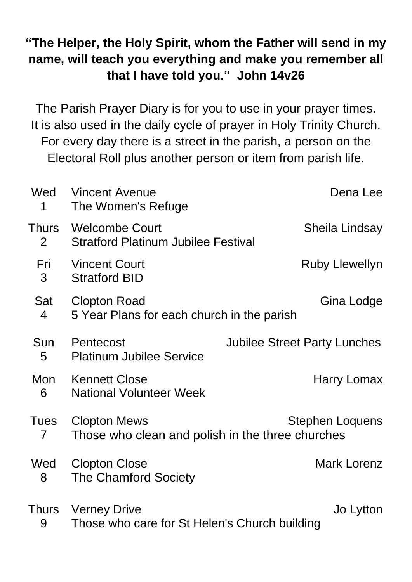## **"The Helper, the Holy Spirit, whom the Father will send in my name, will teach you everything and make you remember all that I have told you." John 14v26**

The Parish Prayer Diary is for you to use in your prayer times. It is also used in the daily cycle of prayer in Holy Trinity Church. For every day there is a street in the parish, a person on the Electoral Roll plus another person or item from parish life.

| Wed<br>1                       | <b>Vincent Avenue</b><br>The Women's Refuge                                                       | Dena Lee                            |
|--------------------------------|---------------------------------------------------------------------------------------------------|-------------------------------------|
| <b>Thurs</b><br>$\overline{2}$ | <b>Welcombe Court</b><br><b>Stratford Platinum Jubilee Festival</b>                               | Sheila Lindsay                      |
| Fri<br>3                       | <b>Vincent Court</b><br><b>Stratford BID</b>                                                      | <b>Ruby Llewellyn</b>               |
| Sat<br>$\overline{4}$          | Gina Lodge<br><b>Clopton Road</b><br>5 Year Plans for each church in the parish                   |                                     |
| Sun<br>5                       | Pentecost<br><b>Platinum Jubilee Service</b>                                                      | <b>Jubilee Street Party Lunches</b> |
| Mon<br>6                       | <b>Kennett Close</b><br><b>National Volunteer Week</b>                                            | Harry Lomax                         |
| <b>Tues</b><br>$\overline{7}$  | <b>Clopton Mews</b><br><b>Stephen Loquens</b><br>Those who clean and polish in the three churches |                                     |
| Wed<br>8                       | <b>Clopton Close</b><br><b>The Chamford Society</b>                                               | <b>Mark Lorenz</b>                  |
| Thurs<br>9                     | <b>Verney Drive</b><br>Those who care for St Helen's Church building                              | Jo Lytton                           |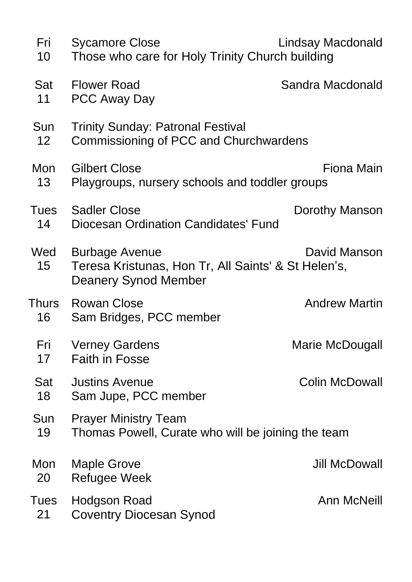| Fri<br>10              | Lindsay Macdonald<br><b>Sycamore Close</b><br>Those who care for Holy Trinity Church building                               |                       |  |
|------------------------|-----------------------------------------------------------------------------------------------------------------------------|-----------------------|--|
| Sat<br>11              | <b>Flower Road</b><br><b>PCC Away Day</b>                                                                                   | Sandra Macdonald      |  |
| Sun<br>12 <sub>2</sub> | <b>Trinity Sunday: Patronal Festival</b><br>Commissioning of PCC and Churchwardens                                          |                       |  |
| Mon<br>13              | Fiona Main<br><b>Gilbert Close</b><br>Playgroups, nursery schools and toddler groups                                        |                       |  |
| Tues<br>14             | <b>Sadler Close</b><br><b>Diocesan Ordination Candidates' Fund</b>                                                          | Dorothy Manson        |  |
| Wed<br>15 <sub>1</sub> | David Manson<br><b>Burbage Avenue</b><br>Teresa Kristunas, Hon Tr, All Saints' & St Helen's,<br><b>Deanery Synod Member</b> |                       |  |
| Thurs<br>16            | <b>Rowan Close</b><br>Sam Bridges, PCC member                                                                               | <b>Andrew Martin</b>  |  |
| Fri<br>17              | <b>Verney Gardens</b><br><b>Faith in Fosse</b>                                                                              | Marie McDougall       |  |
| Sat<br>18              | <b>Justins Avenue</b><br>Sam Jupe, PCC member                                                                               | <b>Colin McDowall</b> |  |
| Sun<br>19              | <b>Prayer Ministry Team</b><br>Thomas Powell, Curate who will be joining the team                                           |                       |  |
| Mon<br>20              | <b>Maple Grove</b><br>Refugee Week                                                                                          | <b>Jill McDowall</b>  |  |
| <b>Tues</b><br>21      | Hodgson Road<br><b>Coventry Diocesan Synod</b>                                                                              | <b>Ann McNeill</b>    |  |